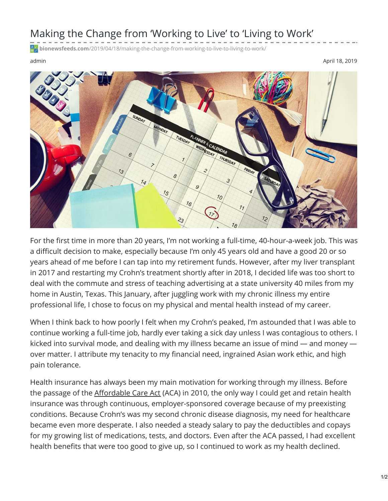## Making the Change from 'Working to Live' to 'Living to Work'

**bionewsfeeds.com**[/2019/04/18/making-the-change-from-working-to-live-to-living-to-work/](https://bionewsfeeds.com/2019/04/18/making-the-change-from-working-to-live-to-living-to-work/)

admin April 18, 2019



For the first time in more than 20 years, I'm not working a full-time, 40-hour-a-week job. This was a difficult decision to make, especially because I'm only 45 years old and have a good 20 or so years ahead of me before I can tap into my retirement funds. However, after my liver transplant in 2017 and restarting my Crohn's treatment shortly after in 2018, I decided life was too short to deal with the commute and stress of teaching advertising at a state university 40 miles from my home in Austin, Texas. This January, after juggling work with my chronic illness my entire professional life, I chose to focus on my physical and mental health instead of my career.

When I think back to how poorly I felt when my Crohn's peaked, I'm astounded that I was able to continue working a full-time job, hardly ever taking a sick day unless I was contagious to others. I kicked into survival mode, and dealing with my illness became an issue of mind — and money over matter. I attribute my tenacity to my financial need, ingrained Asian work ethic, and high pain tolerance.

Health insurance has always been my main motivation for working through my illness. Before the passage of the [Affordable](https://www.healthcare.gov/health-care-law-protections/) Care Act (ACA) in 2010, the only way I could get and retain health insurance was through continuous, employer-sponsored coverage because of my preexisting conditions. Because Crohn's was my second chronic disease diagnosis, my need for healthcare became even more desperate. I also needed a steady salary to pay the deductibles and copays for my growing list of medications, tests, and doctors. Even after the ACA passed, I had excellent health benefits that were too good to give up, so I continued to work as my health declined.